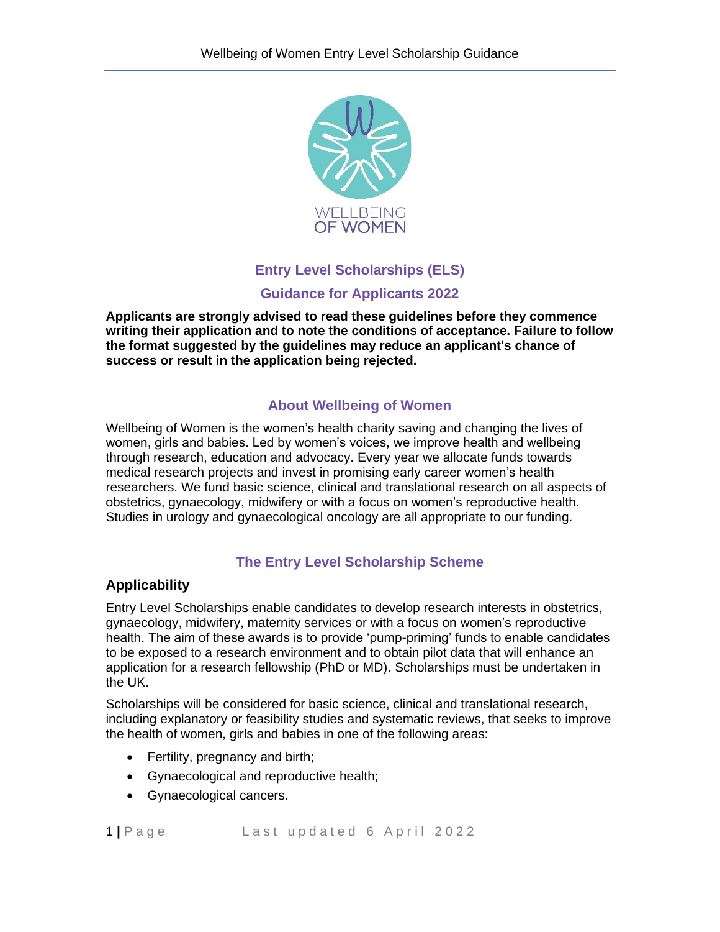

# **Entry Level Scholarships (ELS) Guidance for Applicants 2022**

**Applicants are strongly advised to read these guidelines before they commence writing their application and to note the conditions of acceptance. Failure to follow the format suggested by the guidelines may reduce an applicant's chance of success or result in the application being rejected.** 

# **About Wellbeing of Women**

Wellbeing of Women is the women's health charity saving and changing the lives of women, girls and babies. Led by women's voices, we improve health and wellbeing through research, education and advocacy. Every year we allocate funds towards medical research projects and invest in promising early career women's health researchers. We fund basic science, clinical and translational research on all aspects of obstetrics, gynaecology, midwifery or with a focus on women's reproductive health. Studies in urology and gynaecological oncology are all appropriate to our funding.

# **The Entry Level Scholarship Scheme**

### **Applicability**

Entry Level Scholarships enable candidates to develop research interests in obstetrics, gynaecology, midwifery, maternity services or with a focus on women's reproductive health. The aim of these awards is to provide 'pump-priming' funds to enable candidates to be exposed to a research environment and to obtain pilot data that will enhance an application for a research fellowship (PhD or MD). Scholarships must be undertaken in the UK.

Scholarships will be considered for basic science, clinical and translational research, including explanatory or feasibility studies and systematic reviews, that seeks to improve the health of women, girls and babies in one of the following areas:

- Fertility, pregnancy and birth;
- Gynaecological and reproductive health;
- Gynaecological cancers.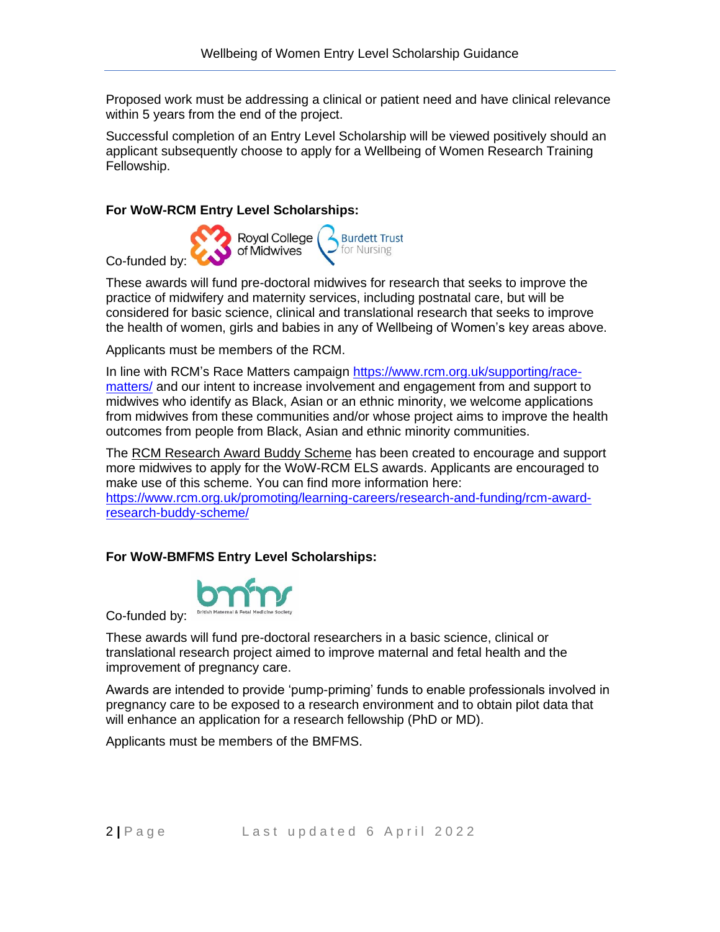Proposed work must be addressing a clinical or patient need and have clinical relevance within 5 years from the end of the project.

Successful completion of an Entry Level Scholarship will be viewed positively should an applicant subsequently choose to apply for a Wellbeing of Women Research Training Fellowship.

#### **For WoW-RCM Entry Level Scholarships:**

Royal College **Burdett Trust** of Midwives for Nursing Co-funded by:

These awards will fund pre-doctoral midwives for research that seeks to improve the practice of midwifery and maternity services, including postnatal care, but will be considered for basic science, clinical and translational research that seeks to improve the health of women, girls and babies in any of Wellbeing of Women's key areas above.

Applicants must be members of the RCM.

In line with RCM's Race Matters campaign [https://www.rcm.org.uk/supporting/race](https://www.rcm.org.uk/supporting/race-matters/)[matters/](https://www.rcm.org.uk/supporting/race-matters/) and our intent to increase involvement and engagement from and support to midwives who identify as Black, Asian or an ethnic minority, we welcome applications from midwives from these communities and/or whose project aims to improve the health outcomes from people from Black, Asian and ethnic minority communities.

The RCM Research Award Buddy Scheme has been created to encourage and support more midwives to apply for the WoW-RCM ELS awards. Applicants are encouraged to make use of this scheme. You can find more information here:

[https://www.rcm.org.uk/promoting/learning-careers/research-and-funding/rcm-award](https://www.rcm.org.uk/promoting/learning-careers/research-and-funding/rcm-award-research-buddy-scheme/)[research-buddy-scheme/](https://www.rcm.org.uk/promoting/learning-careers/research-and-funding/rcm-award-research-buddy-scheme/)

#### **For WoW-BMFMS Entry Level Scholarships:**



Co-funded by:

These awards will fund pre-doctoral researchers in a basic science, clinical or translational research project aimed to improve maternal and fetal health and the improvement of pregnancy care.

Awards are intended to provide 'pump-priming' funds to enable professionals involved in pregnancy care to be exposed to a research environment and to obtain pilot data that will enhance an application for a research fellowship (PhD or MD).

Applicants must be members of the BMFMS.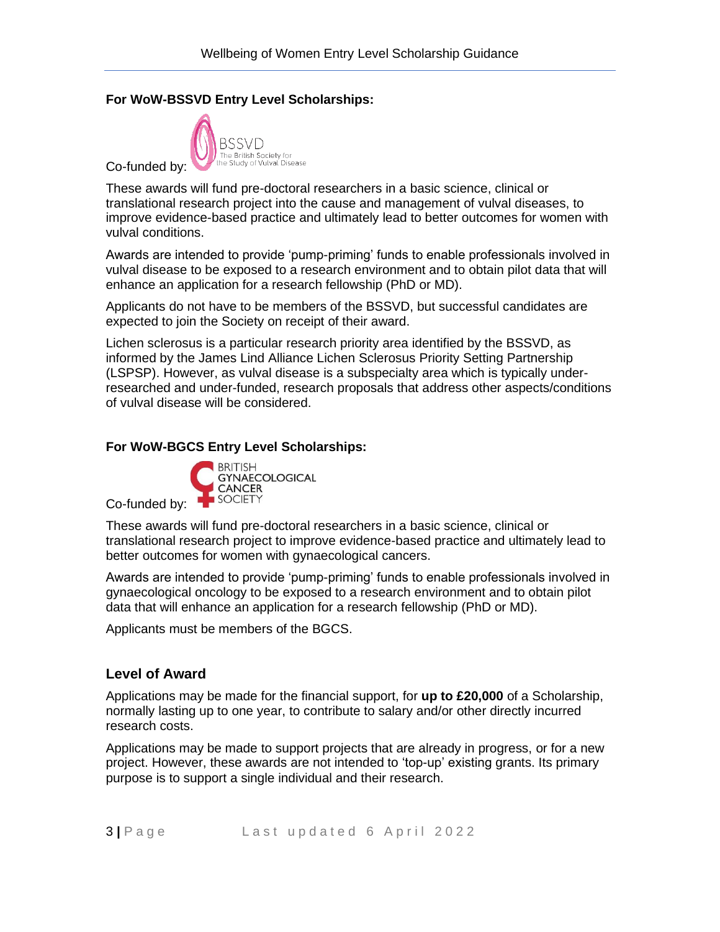### **For WoW-BSSVD Entry Level Scholarships:**



These awards will fund pre-doctoral researchers in a basic science, clinical or translational research project into the cause and management of vulval diseases, to improve evidence-based practice and ultimately lead to better outcomes for women with vulval conditions.

Awards are intended to provide 'pump-priming' funds to enable professionals involved in vulval disease to be exposed to a research environment and to obtain pilot data that will enhance an application for a research fellowship (PhD or MD).

Applicants do not have to be members of the BSSVD, but successful candidates are expected to join the Society on receipt of their award.

Lichen sclerosus is a particular research priority area identified by the BSSVD, as informed by the James Lind Alliance Lichen Sclerosus Priority Setting Partnership (LSPSP). However, as vulval disease is a subspecialty area which is typically underresearched and under-funded, research proposals that address other aspects/conditions of vulval disease will be considered.

#### **For WoW-BGCS Entry Level Scholarships:**



Co-funded by:

These awards will fund pre-doctoral researchers in a basic science, clinical or translational research project to improve evidence-based practice and ultimately lead to better outcomes for women with gynaecological cancers.

Awards are intended to provide 'pump-priming' funds to enable professionals involved in gynaecological oncology to be exposed to a research environment and to obtain pilot data that will enhance an application for a research fellowship (PhD or MD).

Applicants must be members of the BGCS.

#### **Level of Award**

Applications may be made for the financial support, for **up to £20,000** of a Scholarship, normally lasting up to one year, to contribute to salary and/or other directly incurred research costs.

Applications may be made to support projects that are already in progress, or for a new project. However, these awards are not intended to 'top-up' existing grants. Its primary purpose is to support a single individual and their research.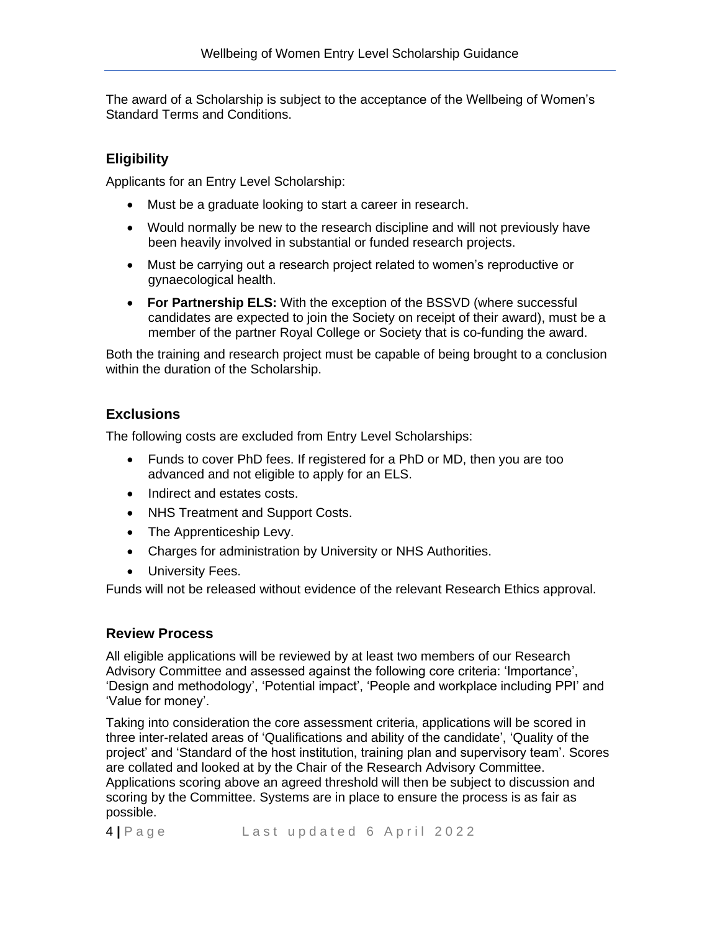The award of a Scholarship is subject to the acceptance of the Wellbeing of Women's Standard Terms and Conditions.

# **Eligibility**

Applicants for an Entry Level Scholarship:

- Must be a graduate looking to start a career in research.
- Would normally be new to the research discipline and will not previously have been heavily involved in substantial or funded research projects.
- Must be carrying out a research project related to women's reproductive or gynaecological health.
- **For Partnership ELS:** With the exception of the BSSVD (where successful candidates are expected to join the Society on receipt of their award), must be a member of the partner Royal College or Society that is co-funding the award.

Both the training and research project must be capable of being brought to a conclusion within the duration of the Scholarship.

### **Exclusions**

The following costs are excluded from Entry Level Scholarships:

- Funds to cover PhD fees. If registered for a PhD or MD, then you are too advanced and not eligible to apply for an ELS.
- Indirect and estates costs.
- NHS Treatment and Support Costs.
- The Apprenticeship Levy.
- Charges for administration by University or NHS Authorities.
- University Fees.

Funds will not be released without evidence of the relevant Research Ethics approval.

### **Review Process**

All eligible applications will be reviewed by at least two members of our Research Advisory Committee and assessed against the following core criteria: 'Importance', 'Design and methodology', 'Potential impact', 'People and workplace including PPI' and 'Value for money'.

Taking into consideration the core assessment criteria, applications will be scored in three inter-related areas of 'Qualifications and ability of the candidate', 'Quality of the project' and 'Standard of the host institution, training plan and supervisory team'. Scores are collated and looked at by the Chair of the Research Advisory Committee. Applications scoring above an agreed threshold will then be subject to discussion and scoring by the Committee. Systems are in place to ensure the process is as fair as possible.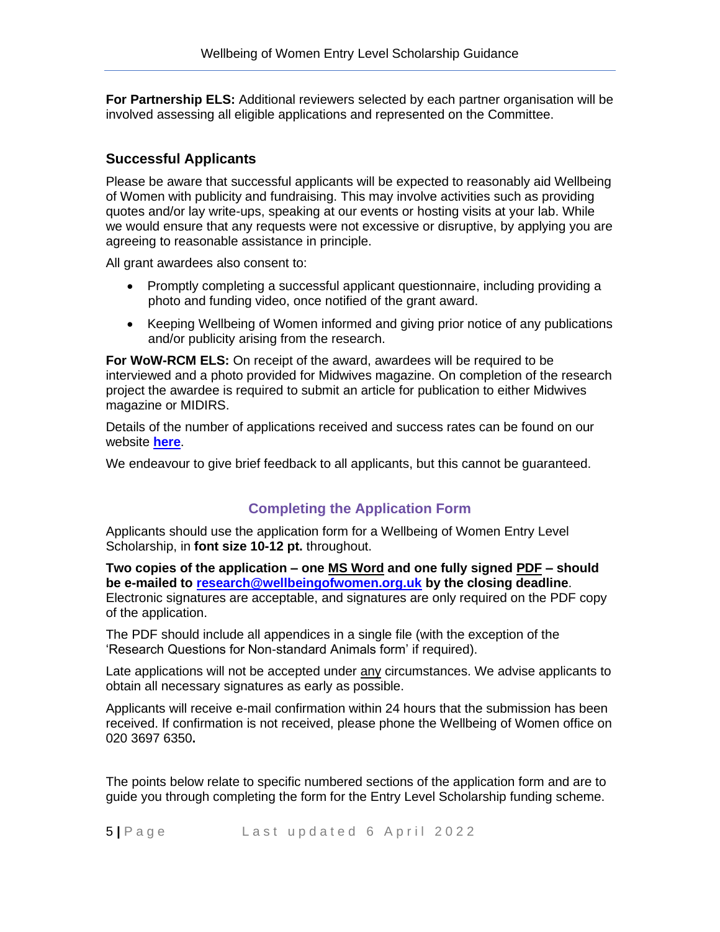**For Partnership ELS:** Additional reviewers selected by each partner organisation will be involved assessing all eligible applications and represented on the Committee.

### **Successful Applicants**

Please be aware that successful applicants will be expected to reasonably aid Wellbeing of Women with publicity and fundraising. This may involve activities such as providing quotes and/or lay write-ups, speaking at our events or hosting visits at your lab. While we would ensure that any requests were not excessive or disruptive, by applying you are agreeing to reasonable assistance in principle.

All grant awardees also consent to:

- Promptly completing a successful applicant questionnaire, including providing a photo and funding video, once notified of the grant award.
- Keeping Wellbeing of Women informed and giving prior notice of any publications and/or publicity arising from the research.

**For WoW-RCM ELS:** On receipt of the award, awardees will be required to be interviewed and a photo provided for Midwives magazine. On completion of the research project the awardee is required to submit an article for publication to either Midwives magazine or MIDIRS.

Details of the number of applications received and success rates can be found on our website **[here](https://wellbeingofwomen.org.uk/uploads/WoW-2019-20-application-success-rates-February-2021.pdf)**.

We endeavour to give brief feedback to all applicants, but this cannot be guaranteed.

# **Completing the Application Form**

Applicants should use the application form for a Wellbeing of Women Entry Level Scholarship, in **font size 10-12 pt.** throughout.

**Two copies of the application – one MS Word and one fully signed PDF – should be e-mailed to [research@wellbeingofwomen.org.uk](mailto:research@wellbeingofwomen.org.uk) by the closing deadline**. Electronic signatures are acceptable, and signatures are only required on the PDF copy of the application.

The PDF should include all appendices in a single file (with the exception of the 'Research Questions for Non-standard Animals form' if required).

Late applications will not be accepted under any circumstances. We advise applicants to obtain all necessary signatures as early as possible.

Applicants will receive e-mail confirmation within 24 hours that the submission has been received. If confirmation is not received, please phone the Wellbeing of Women office on 020 3697 6350**.**

The points below relate to specific numbered sections of the application form and are to guide you through completing the form for the Entry Level Scholarship funding scheme.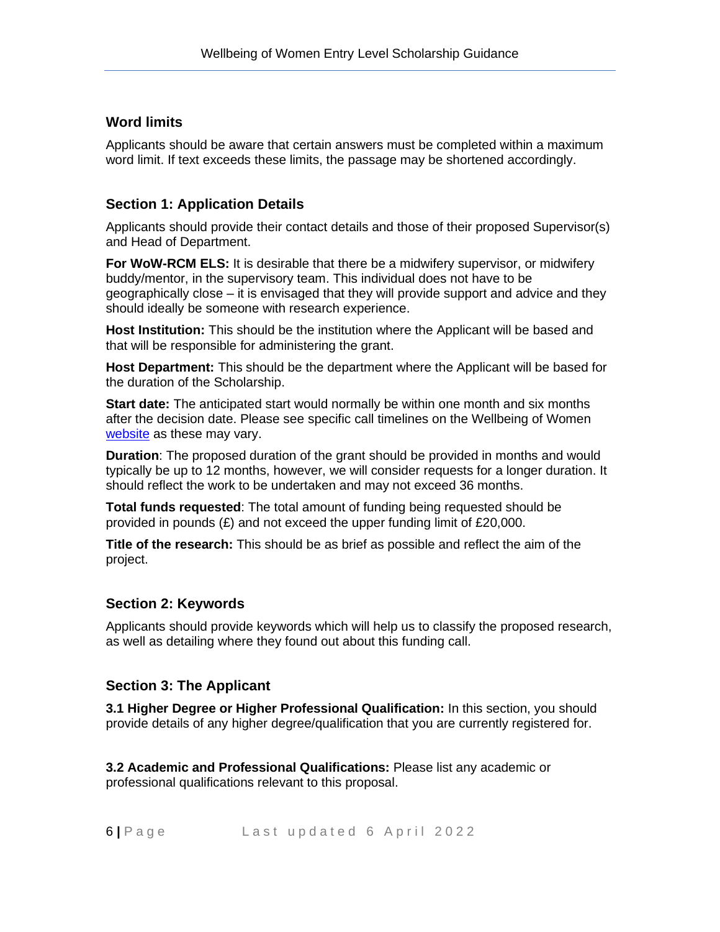### **Word limits**

Applicants should be aware that certain answers must be completed within a maximum word limit. If text exceeds these limits, the passage may be shortened accordingly.

# **Section 1: Application Details**

Applicants should provide their contact details and those of their proposed Supervisor(s) and Head of Department.

**For WoW-RCM ELS:** It is desirable that there be a midwifery supervisor, or midwifery buddy/mentor, in the supervisory team. This individual does not have to be geographically close – it is envisaged that they will provide support and advice and they should ideally be someone with research experience.

**Host Institution:** This should be the institution where the Applicant will be based and that will be responsible for administering the grant.

**Host Department:** This should be the department where the Applicant will be based for the duration of the Scholarship.

**Start date:** The anticipated start would normally be within one month and six months after the decision date. Please see specific call timelines on the Wellbeing of Women [website](https://www.wellbeingofwomen.org.uk/wellbeing-of-women-apply-funding-research-grants-fellowships-scholarships/) as these may vary.

**Duration**: The proposed duration of the grant should be provided in months and would typically be up to 12 months, however, we will consider requests for a longer duration. It should reflect the work to be undertaken and may not exceed 36 months.

**Total funds requested**: The total amount of funding being requested should be provided in pounds  $(E)$  and not exceed the upper funding limit of £20,000.

**Title of the research:** This should be as brief as possible and reflect the aim of the project.

### **Section 2: Keywords**

Applicants should provide keywords which will help us to classify the proposed research, as well as detailing where they found out about this funding call.

### **Section 3: The Applicant**

**3.1 Higher Degree or Higher Professional Qualification:** In this section, you should provide details of any higher degree/qualification that you are currently registered for.

**3.2 Academic and Professional Qualifications:** Please list any academic or professional qualifications relevant to this proposal.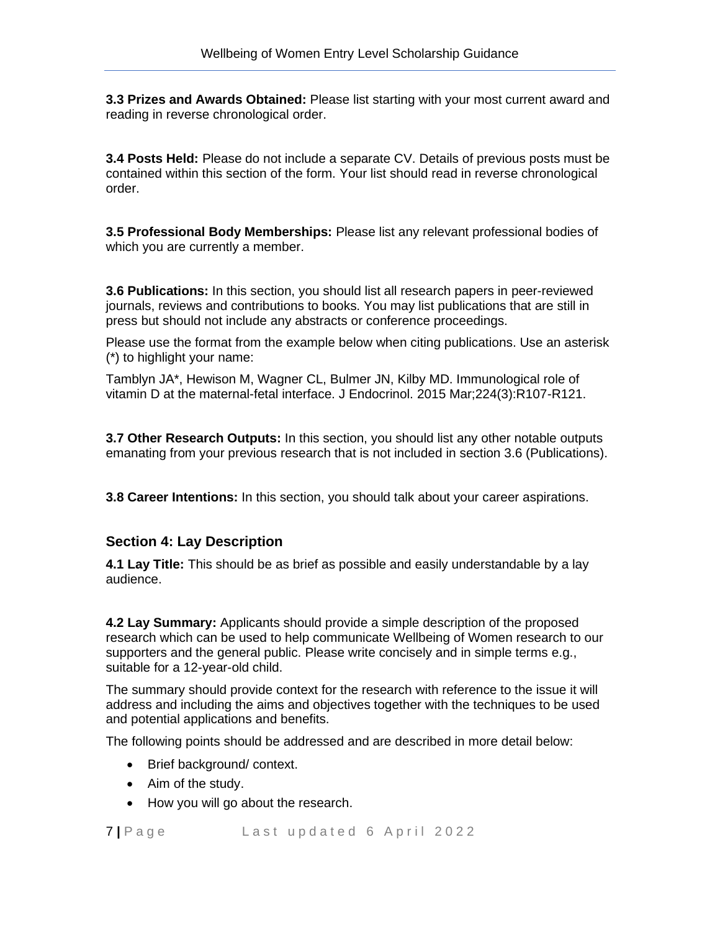**3.3 Prizes and Awards Obtained:** Please list starting with your most current award and reading in reverse chronological order.

**3.4 Posts Held:** Please do not include a separate CV. Details of previous posts must be contained within this section of the form. Your list should read in reverse chronological order.

**3.5 Professional Body Memberships:** Please list any relevant professional bodies of which you are currently a member.

**3.6 Publications:** In this section, you should list all research papers in peer-reviewed journals, reviews and contributions to books. You may list publications that are still in press but should not include any abstracts or conference proceedings.

Please use the format from the example below when citing publications. Use an asterisk (\*) to highlight your name:

Tamblyn JA\*, Hewison M, Wagner CL, Bulmer JN, Kilby MD. Immunological role of vitamin D at the maternal-fetal interface. J Endocrinol. 2015 Mar;224(3):R107-R121.

**3.7 Other Research Outputs:** In this section, you should list any other notable outputs emanating from your previous research that is not included in section 3.6 (Publications).

**3.8 Career Intentions:** In this section, you should talk about your career aspirations.

### **Section 4: Lay Description**

**4.1 Lay Title:** This should be as brief as possible and easily understandable by a lay audience.

**4.2 Lay Summary:** Applicants should provide a simple description of the proposed research which can be used to help communicate Wellbeing of Women research to our supporters and the general public. Please write concisely and in simple terms e.g., suitable for a 12-year-old child.

The summary should provide context for the research with reference to the issue it will address and including the aims and objectives together with the techniques to be used and potential applications and benefits.

The following points should be addressed and are described in more detail below:

- Brief background/ context.
- Aim of the study.
- How you will go about the research.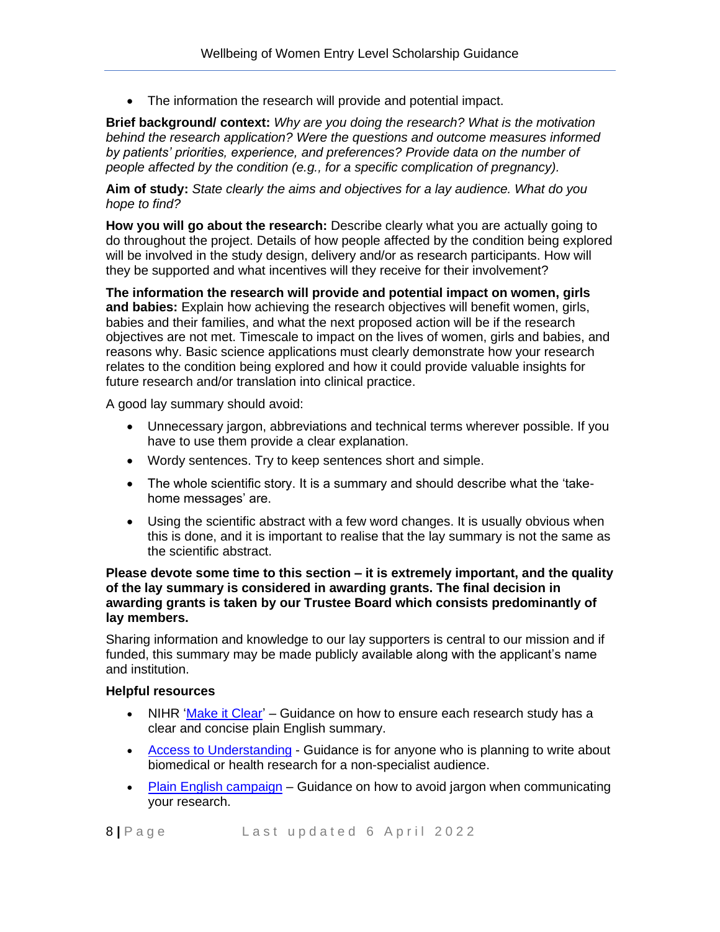• The information the research will provide and potential impact.

**Brief background/ context:** *Why are you doing the research? What is the motivation behind the research application? Were the questions and outcome measures informed by patients' priorities, experience, and preferences? Provide data on the number of people affected by the condition (e.g., for a specific complication of pregnancy).*

**Aim of study:** *State clearly the aims and objectives for a lay audience. What do you hope to find?*

**How you will go about the research:** Describe clearly what you are actually going to do throughout the project. Details of how people affected by the condition being explored will be involved in the study design, delivery and/or as research participants. How will they be supported and what incentives will they receive for their involvement?

**The information the research will provide and potential impact on women, girls and babies:** Explain how achieving the research objectives will benefit women, girls, babies and their families, and what the next proposed action will be if the research objectives are not met. Timescale to impact on the lives of women, girls and babies, and reasons why. Basic science applications must clearly demonstrate how your research relates to the condition being explored and how it could provide valuable insights for future research and/or translation into clinical practice.

A good lay summary should avoid:

- Unnecessary jargon, abbreviations and technical terms wherever possible. If you have to use them provide a clear explanation.
- Wordy sentences. Try to keep sentences short and simple.
- The whole scientific story. It is a summary and should describe what the 'takehome messages' are.
- Using the scientific abstract with a few word changes. It is usually obvious when this is done, and it is important to realise that the lay summary is not the same as the scientific abstract.

#### **Please devote some time to this section – it is extremely important, and the quality of the lay summary is considered in awarding grants. The final decision in awarding grants is taken by our Trustee Board which consists predominantly of lay members.**

Sharing information and knowledge to our lay supporters is central to our mission and if funded, this summary may be made publicly available along with the applicant's name and institution.

#### **Helpful resources**

- NIHR ['Make it Clear'](http://www.invo.org.uk/makeitclear/) Guidance on how to ensure each research study has a clear and concise plain English summary.
- [Access to Understanding](http://www.access2understanding.org/guidance/) Guidance is for anyone who is planning to write about biomedical or health research for a non-specialist audience.
- [Plain English campaign](http://www.plainenglish.co.uk/) Guidance on how to avoid jargon when communicating your research.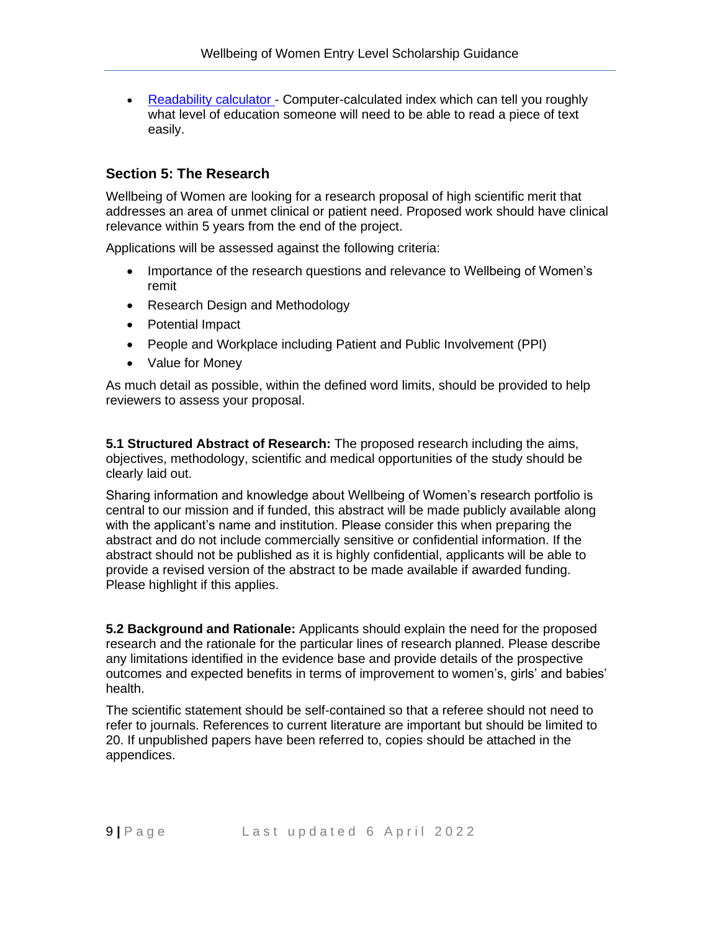• [Readability calculator](https://readability-score.com/) - Computer-calculated index which can tell you roughly what level of education someone will need to be able to read a piece of text easily.

### **Section 5: The Research**

Wellbeing of Women are looking for a research proposal of high scientific merit that addresses an area of unmet clinical or patient need. Proposed work should have clinical relevance within 5 years from the end of the project.

Applications will be assessed against the following criteria:

- Importance of the research questions and relevance to Wellbeing of Women's remit
- Research Design and Methodology
- Potential Impact
- People and Workplace including Patient and Public Involvement (PPI)
- Value for Money

As much detail as possible, within the defined word limits, should be provided to help reviewers to assess your proposal.

**5.1 Structured Abstract of Research:** The proposed research including the aims, objectives, methodology, scientific and medical opportunities of the study should be clearly laid out.

Sharing information and knowledge about Wellbeing of Women's research portfolio is central to our mission and if funded, this abstract will be made publicly available along with the applicant's name and institution. Please consider this when preparing the abstract and do not include commercially sensitive or confidential information. If the abstract should not be published as it is highly confidential, applicants will be able to provide a revised version of the abstract to be made available if awarded funding. Please highlight if this applies.

**5.2 Background and Rationale:** Applicants should explain the need for the proposed research and the rationale for the particular lines of research planned. Please describe any limitations identified in the evidence base and provide details of the prospective outcomes and expected benefits in terms of improvement to women's, girls' and babies' health.

The scientific statement should be self-contained so that a referee should not need to refer to journals. References to current literature are important but should be limited to 20. If unpublished papers have been referred to, copies should be attached in the appendices.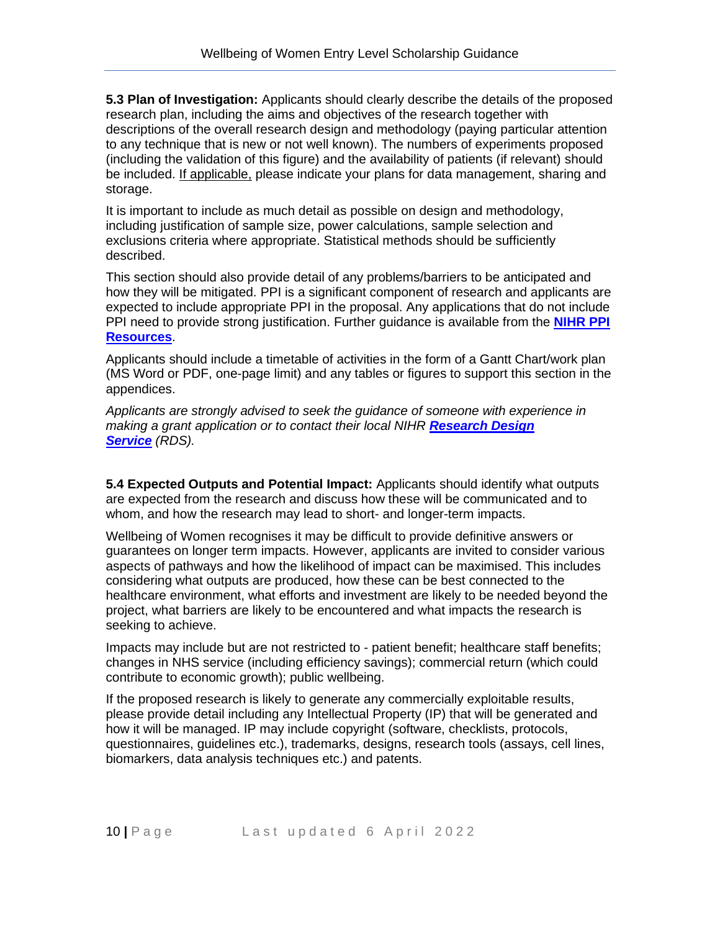**5.3 Plan of Investigation:** Applicants should clearly describe the details of the proposed research plan, including the aims and objectives of the research together with descriptions of the overall research design and methodology (paying particular attention to any technique that is new or not well known). The numbers of experiments proposed (including the validation of this figure) and the availability of patients (if relevant) should be included. If applicable, please indicate your plans for data management, sharing and storage.

It is important to include as much detail as possible on design and methodology, including justification of sample size, power calculations, sample selection and exclusions criteria where appropriate. Statistical methods should be sufficiently described.

This section should also provide detail of any problems/barriers to be anticipated and how they will be mitigated. PPI is a significant component of research and applicants are expected to include appropriate PPI in the proposal. Any applications that do not include PPI need to provide strong justification. Further guidance is available from the **[NIHR PPI](https://www.nihr.ac.uk/documents/ppi-patient-and-public-involvement-resources-for-applicants-to-nihr-research-programmes/23437#Guidance_for%C2%A0researchers_on_PPI)  [Resources](https://www.nihr.ac.uk/documents/ppi-patient-and-public-involvement-resources-for-applicants-to-nihr-research-programmes/23437#Guidance_for%C2%A0researchers_on_PPI)**.

Applicants should include a timetable of activities in the form of a Gantt Chart/work plan (MS Word or PDF, one-page limit) and any tables or figures to support this section in the appendices.

*Applicants are strongly advised to seek the guidance of someone with experience in making a grant application or to contact their local NIHR [Research Design](https://www.nihr.ac.uk/explore-nihr/support/research-design-service.htm)  [Service](https://www.nihr.ac.uk/explore-nihr/support/research-design-service.htm) (RDS).*

**5.4 Expected Outputs and Potential Impact:** Applicants should identify what outputs are expected from the research and discuss how these will be communicated and to whom, and how the research may lead to short- and longer-term impacts.

Wellbeing of Women recognises it may be difficult to provide definitive answers or guarantees on longer term impacts. However, applicants are invited to consider various aspects of pathways and how the likelihood of impact can be maximised. This includes considering what outputs are produced, how these can be best connected to the healthcare environment, what efforts and investment are likely to be needed beyond the project, what barriers are likely to be encountered and what impacts the research is seeking to achieve.

Impacts may include but are not restricted to - patient benefit; healthcare staff benefits; changes in NHS service (including efficiency savings); commercial return (which could contribute to economic growth); public wellbeing.

If the proposed research is likely to generate any commercially exploitable results, please provide detail including any Intellectual Property (IP) that will be generated and how it will be managed. IP may include copyright (software, checklists, protocols, questionnaires, guidelines etc.), trademarks, designs, research tools (assays, cell lines, biomarkers, data analysis techniques etc.) and patents.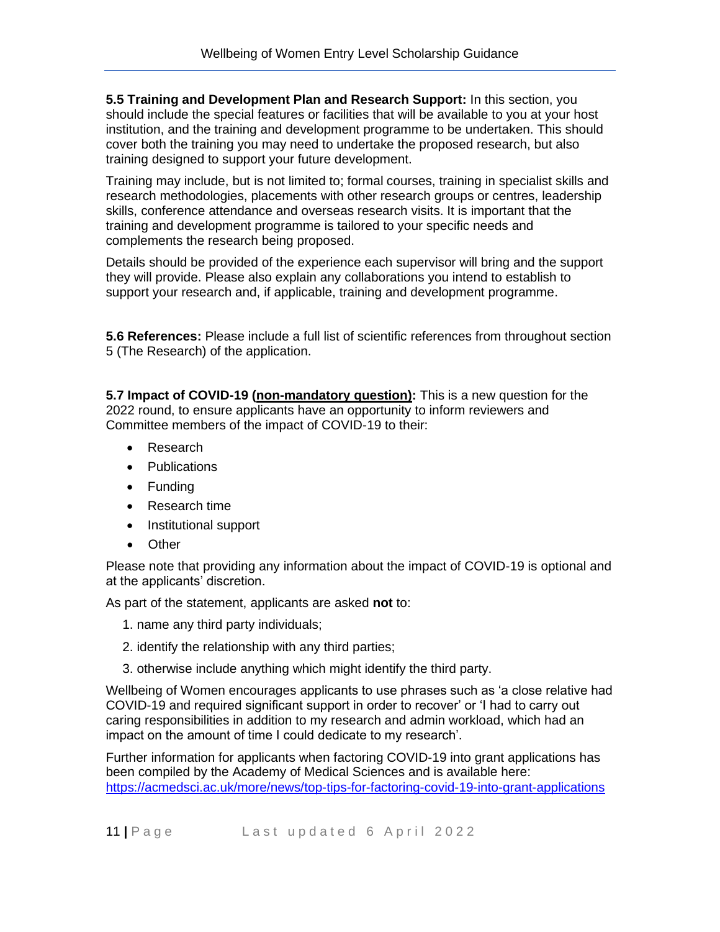**5.5 Training and Development Plan and Research Support:** In this section, you should include the special features or facilities that will be available to you at your host institution, and the training and development programme to be undertaken. This should cover both the training you may need to undertake the proposed research, but also training designed to support your future development.

Training may include, but is not limited to; formal courses, training in specialist skills and research methodologies, placements with other research groups or centres, leadership skills, conference attendance and overseas research visits. It is important that the training and development programme is tailored to your specific needs and complements the research being proposed.

Details should be provided of the experience each supervisor will bring and the support they will provide. Please also explain any collaborations you intend to establish to support your research and, if applicable, training and development programme.

**5.6 References:** Please include a full list of scientific references from throughout section 5 (The Research) of the application.

**5.7 Impact of COVID-19 (non-mandatory question):** This is a new question for the 2022 round, to ensure applicants have an opportunity to inform reviewers and Committee members of the impact of COVID-19 to their:

- Research
- Publications
- Funding
- Research time
- Institutional support
- Other

Please note that providing any information about the impact of COVID-19 is optional and at the applicants' discretion.

As part of the statement, applicants are asked **not** to:

- 1. name any third party individuals;
- 2. identify the relationship with any third parties;
- 3. otherwise include anything which might identify the third party.

Wellbeing of Women encourages applicants to use phrases such as 'a close relative had COVID-19 and required significant support in order to recover' or 'I had to carry out caring responsibilities in addition to my research and admin workload, which had an impact on the amount of time I could dedicate to my research'.

Further information for applicants when factoring COVID-19 into grant applications has been compiled by the Academy of Medical Sciences and is available here: <https://acmedsci.ac.uk/more/news/top-tips-for-factoring-covid-19-into-grant-applications>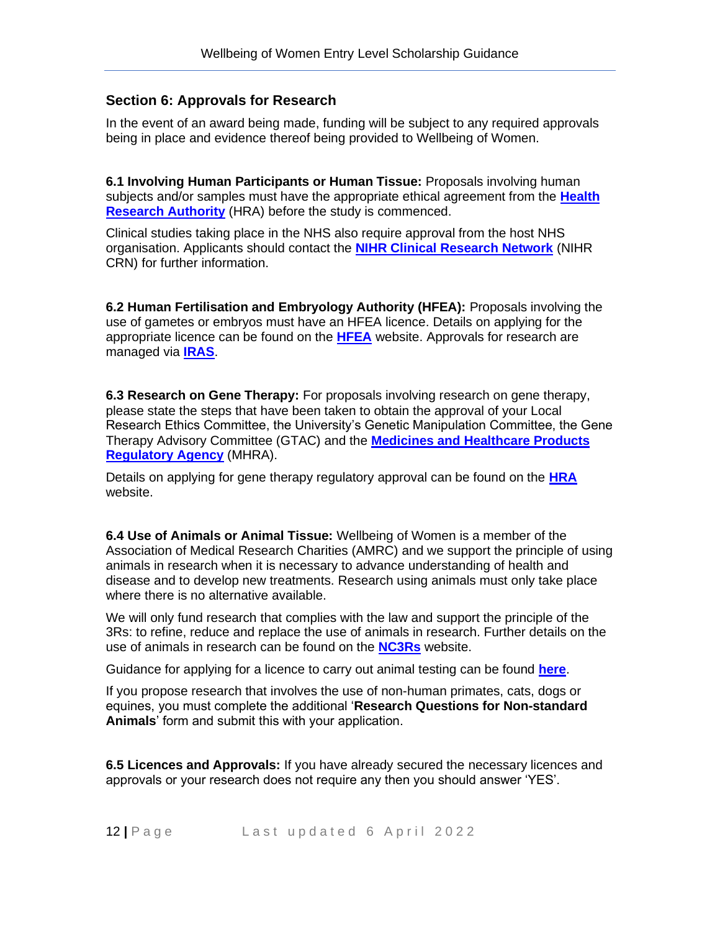### **Section 6: Approvals for Research**

In the event of an award being made, funding will be subject to any required approvals being in place and evidence thereof being provided to Wellbeing of Women.

**6.1 Involving Human Participants or Human Tissue:** Proposals involving human subjects and/or samples must have the appropriate ethical agreement from the **[Health](http://www.hra.nhs.uk/)  [Research Authority](http://www.hra.nhs.uk/)** (HRA) before the study is commenced.

Clinical studies taking place in the NHS also require approval from the host NHS organisation. Applicants should contact the **[NIHR Clinical Research Network](https://www.nihr.ac.uk/explore-nihr/support/clinical-research-network.htm)** (NIHR CRN) for further information.

**6.2 Human Fertilisation and Embryology Authority (HFEA):** Proposals involving the use of gametes or embryos must have an HFEA licence. Details on applying for the appropriate licence can be found on the **[HFEA](https://www.hfea.gov.uk/)** website. Approvals for research are managed via **[IRAS](https://www.myresearchproject.org.uk/)**.

**6.3 Research on Gene Therapy:** For proposals involving research on gene therapy, please state the steps that have been taken to obtain the approval of your Local Research Ethics Committee, the University's Genetic Manipulation Committee, the Gene Therapy Advisory Committee (GTAC) and the **[Medicines and Healthcare Products](http://www.mhra.gov.uk/)  [Regulatory Agency](http://www.mhra.gov.uk/)** (MHRA).

Details on applying for gene therapy regulatory approval can be found on the **[HRA](https://www.hra.nhs.uk/)** website.

**6.4 Use of Animals or Animal Tissue:** Wellbeing of Women is a member of the Association of Medical Research Charities (AMRC) and we support the principle of using animals in research when it is necessary to advance understanding of health and disease and to develop new treatments. Research using animals must only take place where there is no alternative available.

We will only fund research that complies with the law and support the principle of the 3Rs: to refine, reduce and replace the use of animals in research. Further details on the use of animals in research can be found on the **[NC3Rs](https://www.nc3rs.org.uk/responsibility-use-animals-bioscience-research)** website.

Guidance for applying for a licence to carry out animal testing can be found **[here](https://www.gov.uk/government/collections/animal-testing-and-research-applying-for-licences)**.

If you propose research that involves the use of non-human primates, cats, dogs or equines, you must complete the additional '**Research Questions for Non-standard Animals**' form and submit this with your application.

**6.5 Licences and Approvals:** If you have already secured the necessary licences and approvals or your research does not require any then you should answer 'YES'.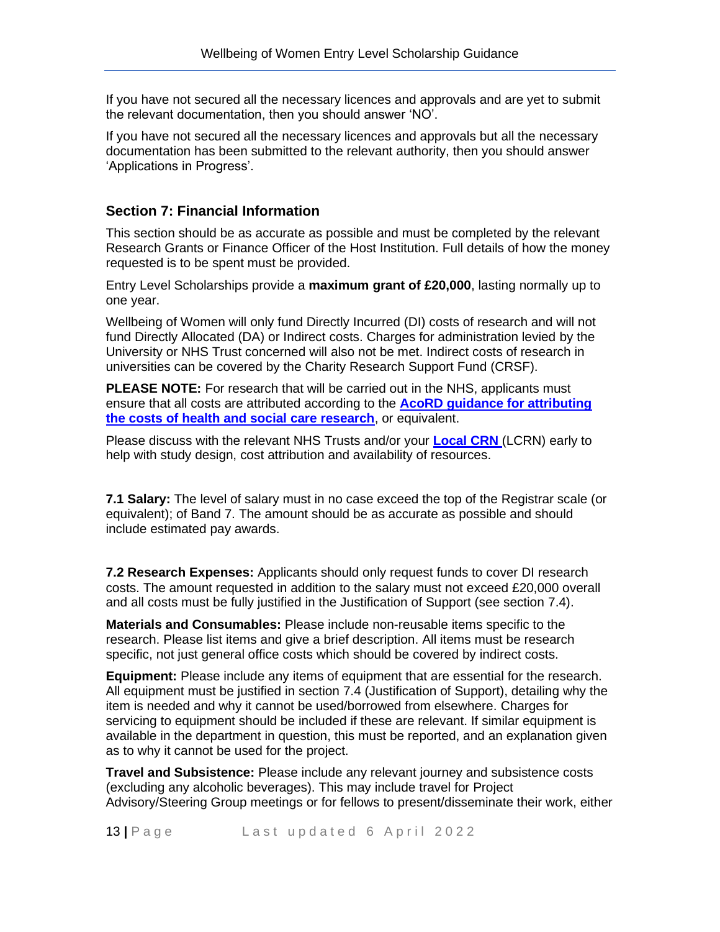If you have not secured all the necessary licences and approvals and are yet to submit the relevant documentation, then you should answer 'NO'.

If you have not secured all the necessary licences and approvals but all the necessary documentation has been submitted to the relevant authority, then you should answer 'Applications in Progress'.

### **Section 7: Financial Information**

This section should be as accurate as possible and must be completed by the relevant Research Grants or Finance Officer of the Host Institution. Full details of how the money requested is to be spent must be provided.

Entry Level Scholarships provide a **maximum grant of £20,000**, lasting normally up to one year.

Wellbeing of Women will only fund Directly Incurred (DI) costs of research and will not fund Directly Allocated (DA) or Indirect costs. Charges for administration levied by the University or NHS Trust concerned will also not be met. Indirect costs of research in universities can be covered by the Charity Research Support Fund (CRSF).

**PLEASE NOTE:** For research that will be carried out in the NHS, applicants must ensure that all costs are attributed according to the **[AcoRD guidance for attributing](https://www.gov.uk/government/publications/guidance-on-attributing-the-costs-of-health-and-social-care-research)  [the costs of health and social care research](https://www.gov.uk/government/publications/guidance-on-attributing-the-costs-of-health-and-social-care-research)**, or equivalent.

Please discuss with the relevant NHS Trusts and/or your **[Local CRN](https://www.nihr.ac.uk/explore-nihr/support/clinical-research-network.htm)** (LCRN) early to help with study design, cost attribution and availability of resources.

**7.1 Salary:** The level of salary must in no case exceed the top of the Registrar scale (or equivalent); of Band 7. The amount should be as accurate as possible and should include estimated pay awards.

**7.2 Research Expenses:** Applicants should only request funds to cover DI research costs. The amount requested in addition to the salary must not exceed £20,000 overall and all costs must be fully justified in the Justification of Support (see section 7.4).

**Materials and Consumables:** Please include non-reusable items specific to the research. Please list items and give a brief description. All items must be research specific, not just general office costs which should be covered by indirect costs.

**Equipment:** Please include any items of equipment that are essential for the research. All equipment must be justified in section 7.4 (Justification of Support), detailing why the item is needed and why it cannot be used/borrowed from elsewhere. Charges for servicing to equipment should be included if these are relevant. If similar equipment is available in the department in question, this must be reported, and an explanation given as to why it cannot be used for the project.

**Travel and Subsistence:** Please include any relevant journey and subsistence costs (excluding any alcoholic beverages). This may include travel for Project Advisory/Steering Group meetings or for fellows to present/disseminate their work, either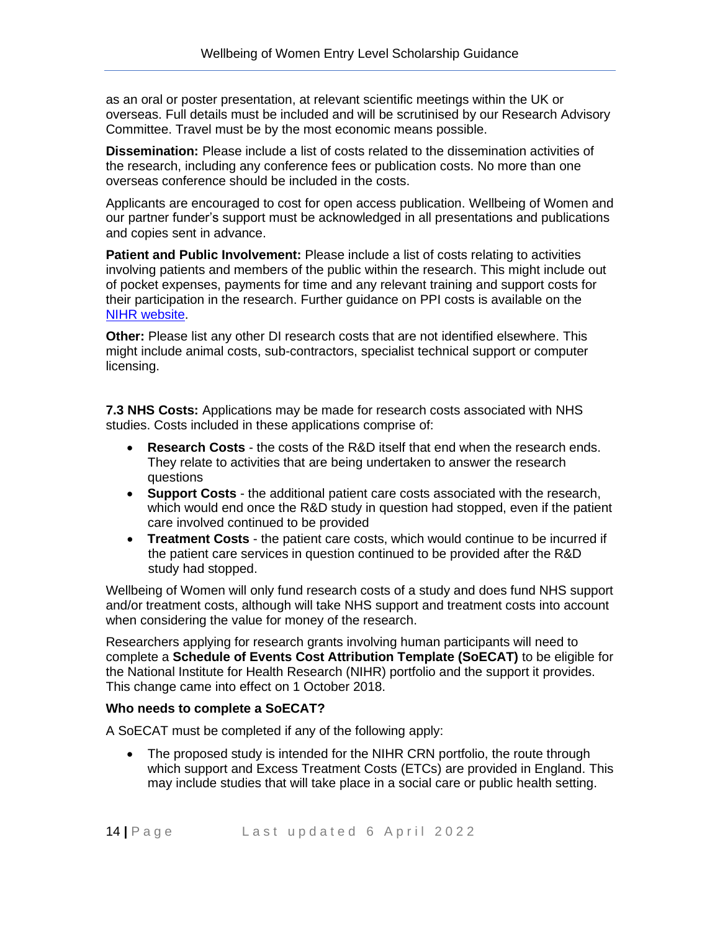as an oral or poster presentation, at relevant scientific meetings within the UK or overseas. Full details must be included and will be scrutinised by our Research Advisory Committee. Travel must be by the most economic means possible.

**Dissemination:** Please include a list of costs related to the dissemination activities of the research, including any conference fees or publication costs. No more than one overseas conference should be included in the costs.

Applicants are encouraged to cost for open access publication. Wellbeing of Women and our partner funder's support must be acknowledged in all presentations and publications and copies sent in advance.

**Patient and Public Involvement:** Please include a list of costs relating to activities involving patients and members of the public within the research. This might include out of pocket expenses, payments for time and any relevant training and support costs for their participation in the research. Further guidance on PPI costs is available on the [NIHR website.](https://www.nihr.ac.uk/documents/payment-guidance-for-researchers-and-professionals/27392)

**Other:** Please list any other DI research costs that are not identified elsewhere. This might include animal costs, sub-contractors, specialist technical support or computer licensing.

**7.3 NHS Costs:** Applications may be made for research costs associated with NHS studies. Costs included in these applications comprise of:

- **Research Costs** the costs of the R&D itself that end when the research ends. They relate to activities that are being undertaken to answer the research questions
- **Support Costs** the additional patient care costs associated with the research, which would end once the R&D study in question had stopped, even if the patient care involved continued to be provided
- **Treatment Costs** the patient care costs, which would continue to be incurred if the patient care services in question continued to be provided after the R&D study had stopped.

Wellbeing of Women will only fund research costs of a study and does fund NHS support and/or treatment costs, although will take NHS support and treatment costs into account when considering the value for money of the research.

Researchers applying for research grants involving human participants will need to complete a **Schedule of Events Cost Attribution Template (SoECAT)** to be eligible for the National Institute for Health Research (NIHR) portfolio and the support it provides. This change came into effect on 1 October 2018.

#### **Who needs to complete a SoECAT?**

A SoECAT must be completed if any of the following apply:

• The proposed study is intended for the NIHR CRN portfolio, the route through which support and Excess Treatment Costs (ETCs) are provided in England. This may include studies that will take place in a social care or public health setting.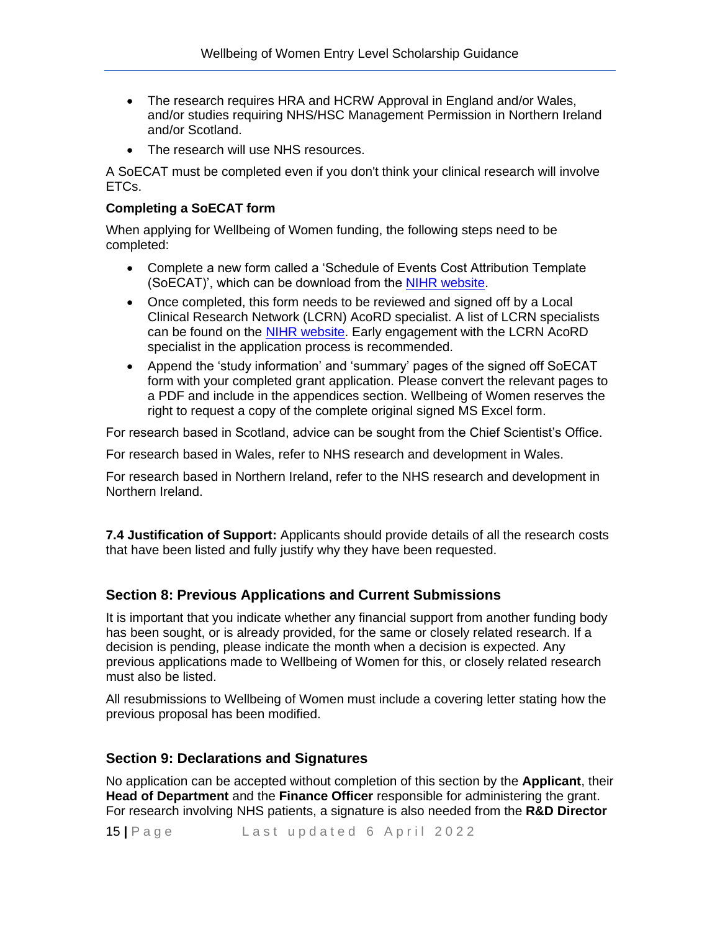- The research requires HRA and HCRW Approval in England and/or Wales, and/or studies requiring NHS/HSC Management Permission in Northern Ireland and/or Scotland.
- The research will use NHS resources.

A SoECAT must be completed even if you don't think your clinical research will involve ETCs.

#### **Completing a SoECAT form**

When applying for Wellbeing of Women funding, the following steps need to be completed:

- Complete a new form called a 'Schedule of Events Cost Attribution Template (SoECAT)', which can be download from the [NIHR website.](https://www.nihr.ac.uk/researchers/collaborations-services-and-support-for-your-research/run-your-study/excess-treatment-costs.htm)
- Once completed, this form needs to be reviewed and signed off by a Local Clinical Research Network (LCRN) AcoRD specialist. A list of LCRN specialists can be found on the [NIHR website.](https://www.nihr.ac.uk/researchers/collaborations-services-and-support-for-your-research/run-your-study/excess-treatment-costs.htm) Early engagement with the LCRN AcoRD specialist in the application process is recommended.
- Append the 'study information' and 'summary' pages of the signed off SoECAT form with your completed grant application. Please convert the relevant pages to a PDF and include in the appendices section. Wellbeing of Women reserves the right to request a copy of the complete original signed MS Excel form.

For research based in Scotland, advice can be sought from the Chief Scientist's Office.

For research based in Wales, refer to NHS research and development in Wales.

For research based in Northern Ireland, refer to the NHS research and development in Northern Ireland.

**7.4 Justification of Support:** Applicants should provide details of all the research costs that have been listed and fully justify why they have been requested.

### **Section 8: Previous Applications and Current Submissions**

It is important that you indicate whether any financial support from another funding body has been sought, or is already provided, for the same or closely related research. If a decision is pending, please indicate the month when a decision is expected. Any previous applications made to Wellbeing of Women for this, or closely related research must also be listed.

All resubmissions to Wellbeing of Women must include a covering letter stating how the previous proposal has been modified.

#### **Section 9: Declarations and Signatures**

No application can be accepted without completion of this section by the **Applicant**, their **Head of Department** and the **Finance Officer** responsible for administering the grant. For research involving NHS patients, a signature is also needed from the **R&D Director**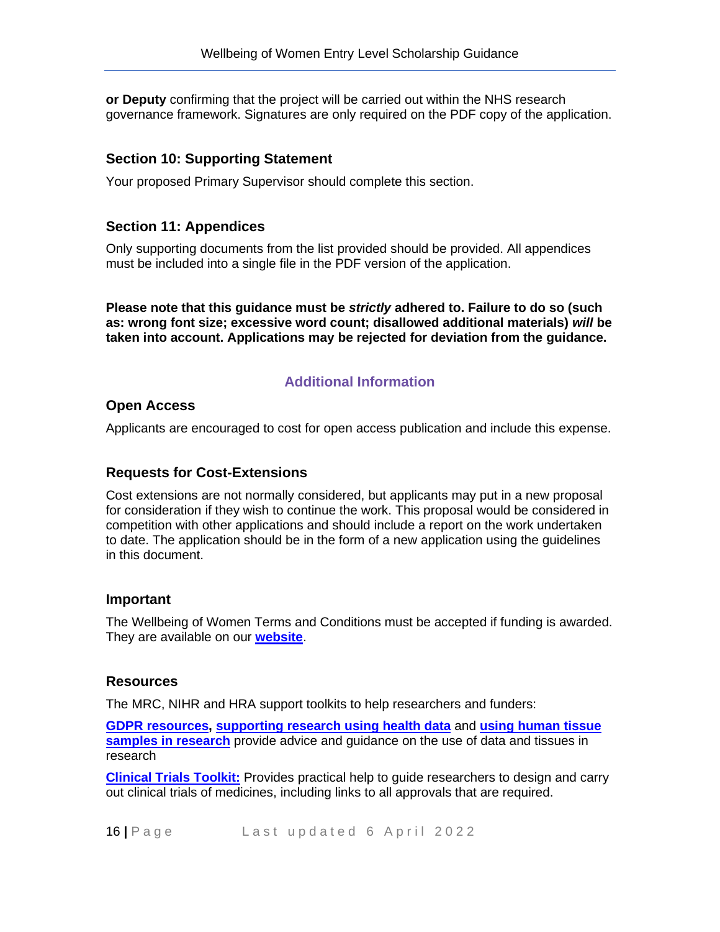**or Deputy** confirming that the project will be carried out within the NHS research governance framework. Signatures are only required on the PDF copy of the application.

### **Section 10: Supporting Statement**

Your proposed Primary Supervisor should complete this section.

### **Section 11: Appendices**

Only supporting documents from the list provided should be provided. All appendices must be included into a single file in the PDF version of the application.

**Please note that this guidance must be** *strictly* **adhered to. Failure to do so (such as: wrong font size; excessive word count; disallowed additional materials)** *will* **be taken into account. Applications may be rejected for deviation from the guidance.**

### **Additional Information**

### **Open Access**

Applicants are encouraged to cost for open access publication and include this expense.

### **Requests for Cost-Extensions**

Cost extensions are not normally considered, but applicants may put in a new proposal for consideration if they wish to continue the work. This proposal would be considered in competition with other applications and should include a report on the work undertaken to date. The application should be in the form of a new application using the guidelines in this document.

#### **Important**

The Wellbeing of Women Terms and Conditions must be accepted if funding is awarded. They are available on our **[website](https://www.wellbeingofwomen.org.uk/uploads/WoW_Standard_TCs_2020.pdf)**.

#### **Resources**

The MRC, NIHR and HRA support toolkits to help researchers and funders:

**[GDPR resources,](https://mrc.ukri.org/research/facilities-and-resources-for-researchers/regulatory-support-centre/gdpr-resources/) [supporting research using health data](https://mrc.ukri.org/research/facilities-and-resources-for-researchers/regulatory-support-centre/supporting-research-using-health-data/)** and **[using human tissue](https://mrc.ukri.org/research/facilities-and-resources-for-researchers/regulatory-support-centre/human-tissue/)  [samples in research](https://mrc.ukri.org/research/facilities-and-resources-for-researchers/regulatory-support-centre/human-tissue/)** provide advice and guidance on the use of data and tissues in research

**[Clinical Trials Toolkit:](http://www.ct-toolkit.ac.uk/)** Provides practical help to guide researchers to design and carry out clinical trials of medicines, including links to all approvals that are required.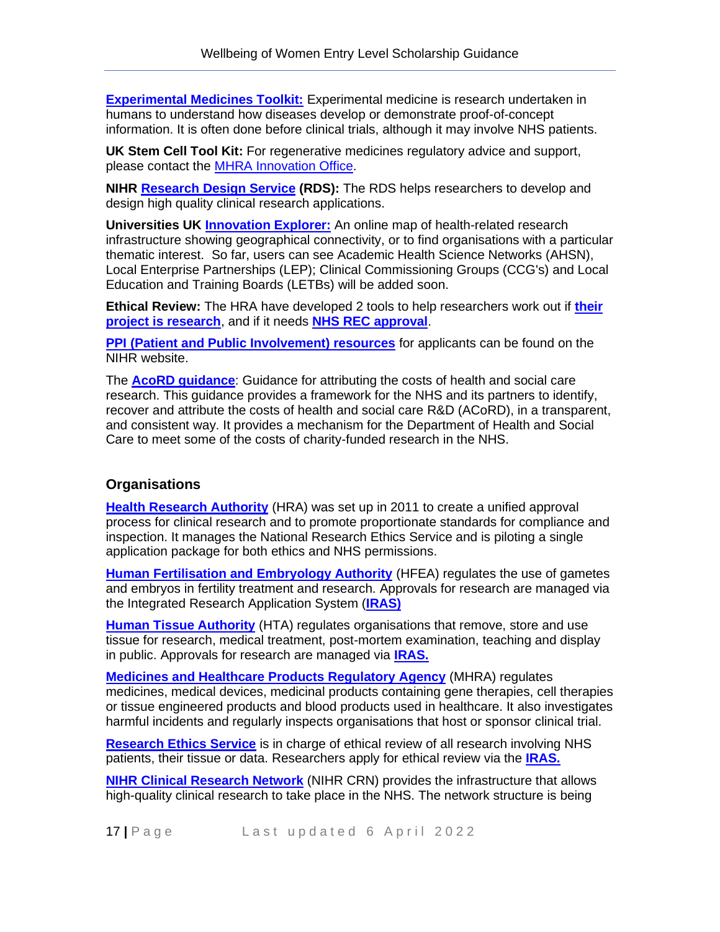**[Experimental Medicines Toolkit:](https://em-toolkit.org/#/)** Experimental medicine is research undertaken in humans to understand how diseases develop or demonstrate proof-of-concept information. It is often done before clinical trials, although it may involve NHS patients.

**UK Stem Cell Tool Kit:** For regenerative medicines regulatory advice and support, please contact the [MHRA Innovation Office.](https://www.gov.uk/government/groups/mhra-innovation-office#the-regulatory-advice-service-for-regenerative-medicines)

**NIHR [Research Design Service](https://www.nihr.ac.uk/explore-nihr/support/research-design-service.htm) (RDS):** The RDS helps researchers to develop and design high quality clinical research applications.

**Universities UK [Innovation Explorer:](http://innovationexplorer.org/)** An online map of health-related research infrastructure showing geographical connectivity, or to find organisations with a particular thematic interest. So far, users can see Academic Health Science Networks (AHSN), Local Enterprise Partnerships (LEP); Clinical Commissioning Groups (CCG's) and Local Education and Training Boards (LETBs) will be added soon.

**Ethical Review:** The HRA have developed 2 tools to help researchers work out if **[their](http://www.hra-decisiontools.org.uk/research/)  [project is research](http://www.hra-decisiontools.org.uk/research/)**, and if it needs **[NHS REC approval](http://www.hra-decisiontools.org.uk/Ethics/)**.

**[PPI \(Patient and Public Involvement\) resources](https://www.nihr.ac.uk/documents/ppi-patient-and-public-involvement-resources-for-applicants-to-nihr-research-programmes/23437)** for applicants can be found on the NIHR website.

The **[AcoRD guidance](https://www.gov.uk/government/publications/guidance-on-attributing-the-costs-of-health-and-social-care-research)**: Guidance for attributing the costs of health and social care research. This guidance provides a framework for the NHS and its partners to identify, recover and attribute the costs of health and social care R&D (ACoRD), in a transparent, and consistent way. It provides a mechanism for the Department of Health and Social Care to meet some of the costs of charity-funded research in the NHS.

### **Organisations**

**[Health Research Authority](http://www.hra.nhs.uk/)** (HRA) was set up in 2011 to create a unified approval process for clinical research and to promote proportionate standards for compliance and inspection. It manages the National Research Ethics Service and is piloting a single application package for both ethics and NHS permissions.

**[Human Fertilisation and Embryology Authority](http://www.hfea.gov.uk/)** (HFEA) regulates the use of gametes and embryos in fertility treatment and research. Approvals for research are managed via the Integrated Research Application System (**[IRAS\)](https://www.myresearchproject.org.uk/)**

**[Human Tissue Authority](http://www.hta.gov.uk/)** (HTA) regulates organisations that remove, store and use tissue for research, medical treatment, post-mortem examination, teaching and display in public. Approvals for research are managed via **[IRAS.](https://www.myresearchproject.org.uk/)**

**[Medicines and Healthcare Products Regulatory Agency](http://www.mhra.gov.uk/)** (MHRA) regulates medicines, medical devices, medicinal products containing gene therapies, cell therapies or tissue engineered products and blood products used in healthcare. It also investigates harmful incidents and regularly inspects organisations that host or sponsor clinical trial.

**[Research Ethics Service](https://www.hra.nhs.uk/about-us/committees-and-services/res-and-recs/)** is in charge of ethical review of all research involving NHS patients, their tissue or data. Researchers apply for ethical review via the **[IRAS.](https://www.myresearchproject.org.uk/)**

**[NIHR Clinical Research Network](http://www.crn.nihr.ac.uk/)** (NIHR CRN) provides the infrastructure that allows high-quality clinical research to take place in the NHS. The network structure is being